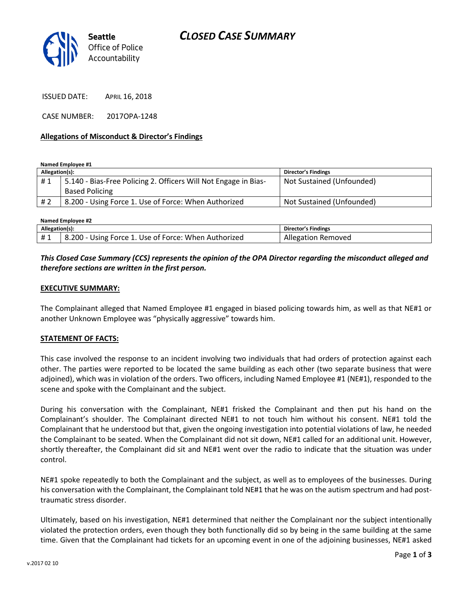

ISSUED DATE: APRIL 16, 2018

CASE NUMBER: 2017OPA-1248

### **Allegations of Misconduct & Director's Findings**

**Named Employee #1**

| Allegation(s): |                                                                 | <b>Director's Findings</b> |
|----------------|-----------------------------------------------------------------|----------------------------|
| #1             | 5.140 - Bias-Free Policing 2. Officers Will Not Engage in Bias- | Not Sustained (Unfounded)  |
|                | <b>Based Policing</b>                                           |                            |
| #2             | 8.200 - Using Force 1. Use of Force: When Authorized            | Not Sustained (Unfounded)  |

**Named Employee #2**

| Allegation(s): |                                                      | Director's Findings |
|----------------|------------------------------------------------------|---------------------|
| #1             | 8.200 - Using Force 1. Use of Force: When Authorized | Allegation Removed  |

## *This Closed Case Summary (CCS) represents the opinion of the OPA Director regarding the misconduct alleged and therefore sections are written in the first person.*

### **EXECUTIVE SUMMARY:**

The Complainant alleged that Named Employee #1 engaged in biased policing towards him, as well as that NE#1 or another Unknown Employee was "physically aggressive" towards him.

#### **STATEMENT OF FACTS:**

This case involved the response to an incident involving two individuals that had orders of protection against each other. The parties were reported to be located the same building as each other (two separate business that were adjoined), which was in violation of the orders. Two officers, including Named Employee #1 (NE#1), responded to the scene and spoke with the Complainant and the subject.

During his conversation with the Complainant, NE#1 frisked the Complainant and then put his hand on the Complainant's shoulder. The Complainant directed NE#1 to not touch him without his consent. NE#1 told the Complainant that he understood but that, given the ongoing investigation into potential violations of law, he needed the Complainant to be seated. When the Complainant did not sit down, NE#1 called for an additional unit. However, shortly thereafter, the Complainant did sit and NE#1 went over the radio to indicate that the situation was under control.

NE#1 spoke repeatedly to both the Complainant and the subject, as well as to employees of the businesses. During his conversation with the Complainant, the Complainant told NE#1 that he was on the autism spectrum and had posttraumatic stress disorder.

Ultimately, based on his investigation, NE#1 determined that neither the Complainant nor the subject intentionally violated the protection orders, even though they both functionally did so by being in the same building at the same time. Given that the Complainant had tickets for an upcoming event in one of the adjoining businesses, NE#1 asked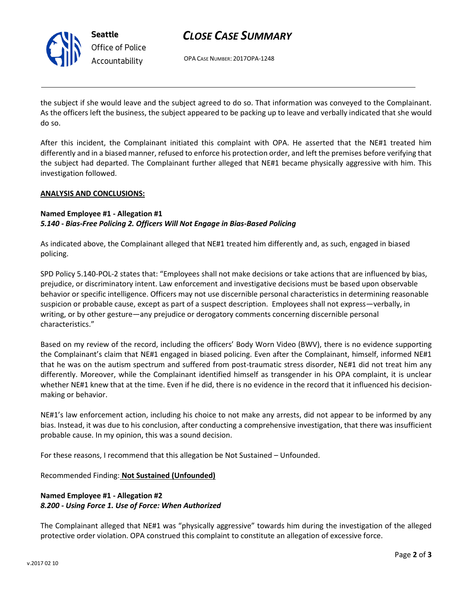

# *CLOSE CASE SUMMARY*

OPA CASE NUMBER: 2017OPA-1248

the subject if she would leave and the subject agreed to do so. That information was conveyed to the Complainant. As the officers left the business, the subject appeared to be packing up to leave and verbally indicated that she would do so.

After this incident, the Complainant initiated this complaint with OPA. He asserted that the NE#1 treated him differently and in a biased manner, refused to enforce his protection order, and left the premises before verifying that the subject had departed. The Complainant further alleged that NE#1 became physically aggressive with him. This investigation followed.

### **ANALYSIS AND CONCLUSIONS:**

## **Named Employee #1 - Allegation #1** *5.140 - Bias-Free Policing 2. Officers Will Not Engage in Bias-Based Policing*

As indicated above, the Complainant alleged that NE#1 treated him differently and, as such, engaged in biased policing.

SPD Policy 5.140-POL-2 states that: "Employees shall not make decisions or take actions that are influenced by bias, prejudice, or discriminatory intent. Law enforcement and investigative decisions must be based upon observable behavior or specific intelligence. Officers may not use discernible personal characteristics in determining reasonable suspicion or probable cause, except as part of a suspect description. Employees shall not express—verbally, in writing, or by other gesture—any prejudice or derogatory comments concerning discernible personal characteristics."

Based on my review of the record, including the officers' Body Worn Video (BWV), there is no evidence supporting the Complainant's claim that NE#1 engaged in biased policing. Even after the Complainant, himself, informed NE#1 that he was on the autism spectrum and suffered from post-traumatic stress disorder, NE#1 did not treat him any differently. Moreover, while the Complainant identified himself as transgender in his OPA complaint, it is unclear whether NE#1 knew that at the time. Even if he did, there is no evidence in the record that it influenced his decisionmaking or behavior.

NE#1's law enforcement action, including his choice to not make any arrests, did not appear to be informed by any bias. Instead, it was due to his conclusion, after conducting a comprehensive investigation, that there was insufficient probable cause. In my opinion, this was a sound decision.

For these reasons, I recommend that this allegation be Not Sustained – Unfounded.

Recommended Finding: **Not Sustained (Unfounded)**

# **Named Employee #1 - Allegation #2** *8.200 - Using Force 1. Use of Force: When Authorized*

The Complainant alleged that NE#1 was "physically aggressive" towards him during the investigation of the alleged protective order violation. OPA construed this complaint to constitute an allegation of excessive force.